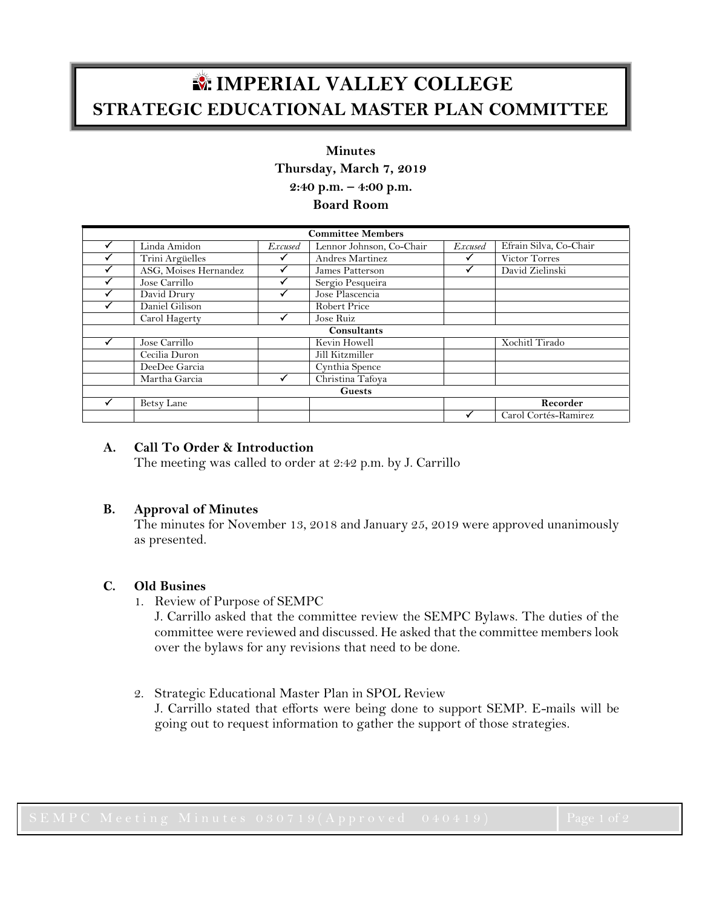# **IMPERIAL VALLEY COLLEGE STRATEGIC EDUCATIONAL MASTER PLAN COMMITTEE**

# **Minutes**

**Thursday, March 7, 2019**

**2:40 p.m. – 4:00 p.m.**

**Board Room**

| <b>Committee Members</b> |                       |                |                          |                |                        |
|--------------------------|-----------------------|----------------|--------------------------|----------------|------------------------|
|                          | Linda Amidon          | <i>Excused</i> | Lennor Johnson, Co-Chair | <b>Excused</b> | Efrain Silva, Co-Chair |
|                          | Trini Argüelles       |                | Andres Martinez          |                | Victor Torres          |
|                          | ASG, Moises Hernandez |                | James Patterson          |                | David Zielinski        |
|                          | Jose Carrillo         |                | Sergio Pesqueira         |                |                        |
|                          | David Drury           |                | Jose Plascencia          |                |                        |
|                          | Daniel Gilison        |                | Robert Price             |                |                        |
|                          | Carol Hagerty         |                | Jose Ruiz                |                |                        |
| Consultants              |                       |                |                          |                |                        |
|                          | Jose Carrillo         |                | Kevin Howell             |                | Xochitl Tirado         |
|                          | Cecilia Duron         |                | Jill Kitzmiller          |                |                        |
|                          | DeeDee Garcia         |                | Cynthia Spence           |                |                        |
|                          | Martha Garcia         |                | Christina Tafoya         |                |                        |
| <b>Guests</b>            |                       |                |                          |                |                        |
|                          | Betsy Lane            |                |                          |                | Recorder               |
|                          |                       |                |                          |                | Carol Cortés-Ramirez   |

# **A. Call To Order & Introduction**

The meeting was called to order at 2:42 p.m. by J. Carrillo

# **B. Approval of Minutes**

The minutes for November 13, 2018 and January 25, 2019 were approved unanimously as presented.

# **C. Old Busines**

1. Review of Purpose of SEMPC

J. Carrillo asked that the committee review the SEMPC Bylaws. The duties of the committee were reviewed and discussed. He asked that the committee members look over the bylaws for any revisions that need to be done.

2. Strategic Educational Master Plan in SPOL Review

J. Carrillo stated that efforts were being done to support SEMP. E-mails will be going out to request information to gather the support of those strategies.